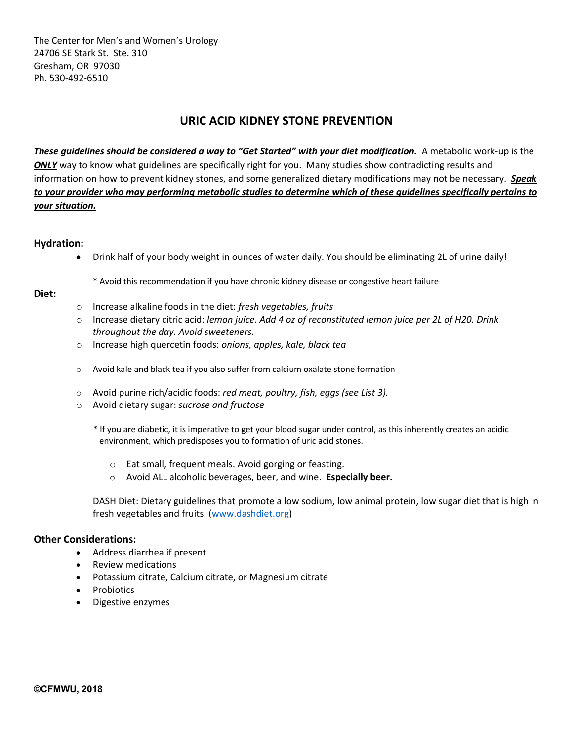The Center for Men's and Women's Urology 24706 SE Stark St. Ste. 310 Gresham, OR 97030 Ph. 530-492-6510

# **URIC ACID KIDNEY STONE PREVENTION**

*These guidelines should be considered a way to "Get Started" with your diet modification.* A metabolic work-up is the **ONLY** way to know what guidelines are specifically right for you. Many studies show contradicting results and information on how to prevent kidney stones, and some generalized dietary modifications may not be necessary. *Speak to your provider who may performing metabolic studies to determine which of these guidelines specifically pertains to your situation.*

## **Hydration:**

- Drink half of your body weight in ounces of water daily. You should be eliminating 2L of urine daily!
	- \* Avoid this recommendation if you have chronic kidney disease or congestive heart failure

## **Diet:**

- o Increase alkaline foods in the diet: *fresh vegetables, fruits*
- o Increase dietary citric acid: *lemon juice. Add 4 oz of reconstituted lemon juice per 2L of H20. Drink throughout the day. Avoid sweeteners.*
- o Increase high quercetin foods: *onions, apples, kale, black tea*
- o Avoid kale and black tea if you also suffer from calcium oxalate stone formation
- o Avoid purine rich/acidic foods: *red meat, poultry, fish, eggs (see List 3).*
- o Avoid dietary sugar: *sucrose and fructose*
	- \* If you are diabetic, it is imperative to get your blood sugar under control, as this inherently creates an acidic environment, which predisposes you to formation of uric acid stones.
		- o Eat small, frequent meals. Avoid gorging or feasting.
		- o Avoid ALL alcoholic beverages, beer, and wine. **Especially beer.**

DASH Diet: Dietary guidelines that promote a low sodium, low animal protein, low sugar diet that is high in fresh vegetables and fruits. (www.dashdiet.org)

# **Other Considerations:**

- Address diarrhea if present
- Review medications
- Potassium citrate, Calcium citrate, or Magnesium citrate
- Probiotics
- Digestive enzymes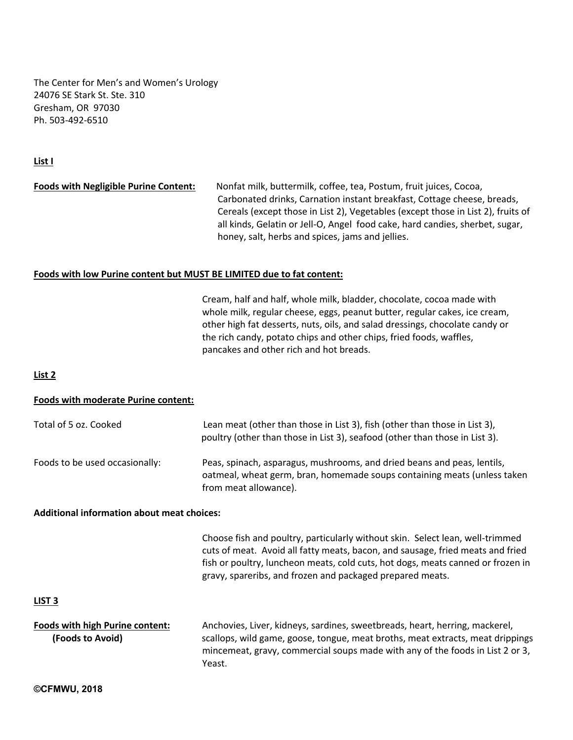The Center for Men's and Women's Urology 24076 SE Stark St. Ste. 310 Gresham, OR 97030 Ph. 503-492-6510

## **List I**

# **Foods with Negligible Purine Content:** Nonfat milk, buttermilk, coffee, tea, Postum, fruit juices, Cocoa, Carbonated drinks, Carnation instant breakfast, Cottage cheese, breads, Cereals (except those in List 2), Vegetables (except those in List 2), fruits of all kinds, Gelatin or Jell-O, Angel food cake, hard candies, sherbet, sugar, honey, salt, herbs and spices, jams and jellies.

#### **Foods with low Purine content but MUST BE LIMITED due to fat content:**

 Cream, half and half, whole milk, bladder, chocolate, cocoa made with whole milk, regular cheese, eggs, peanut butter, regular cakes, ice cream, other high fat desserts, nuts, oils, and salad dressings, chocolate candy or the rich candy, potato chips and other chips, fried foods, waffles, pancakes and other rich and hot breads.

#### **List 2**

## **Foods with moderate Purine content:**

| Total of 5 oz. Cooked          | Lean meat (other than those in List 3), fish (other than those in List 3),<br>poultry (other than those in List 3), seafood (other than those in List 3).                    |
|--------------------------------|------------------------------------------------------------------------------------------------------------------------------------------------------------------------------|
| Foods to be used occasionally: | Peas, spinach, asparagus, mushrooms, and dried beans and peas, lentils,<br>oatmeal, wheat germ, bran, homemade soups containing meats (unless taken<br>from meat allowance). |

#### **Additional information about meat choices:**

Choose fish and poultry, particularly without skin. Select lean, well-trimmed cuts of meat. Avoid all fatty meats, bacon, and sausage, fried meats and fried fish or poultry, luncheon meats, cold cuts, hot dogs, meats canned or frozen in gravy, spareribs, and frozen and packaged prepared meats.

## **LIST 3**

**Foods with high Purine content:** Anchovies, Liver, kidneys, sardines, sweetbreads, heart, herring, mackerel, **(Foods to Avoid)** scallops, wild game, goose, tongue, meat broths, meat extracts, meat drippings mincemeat, gravy, commercial soups made with any of the foods in List 2 or 3, Yeast.

**©CFMWU, 2018**